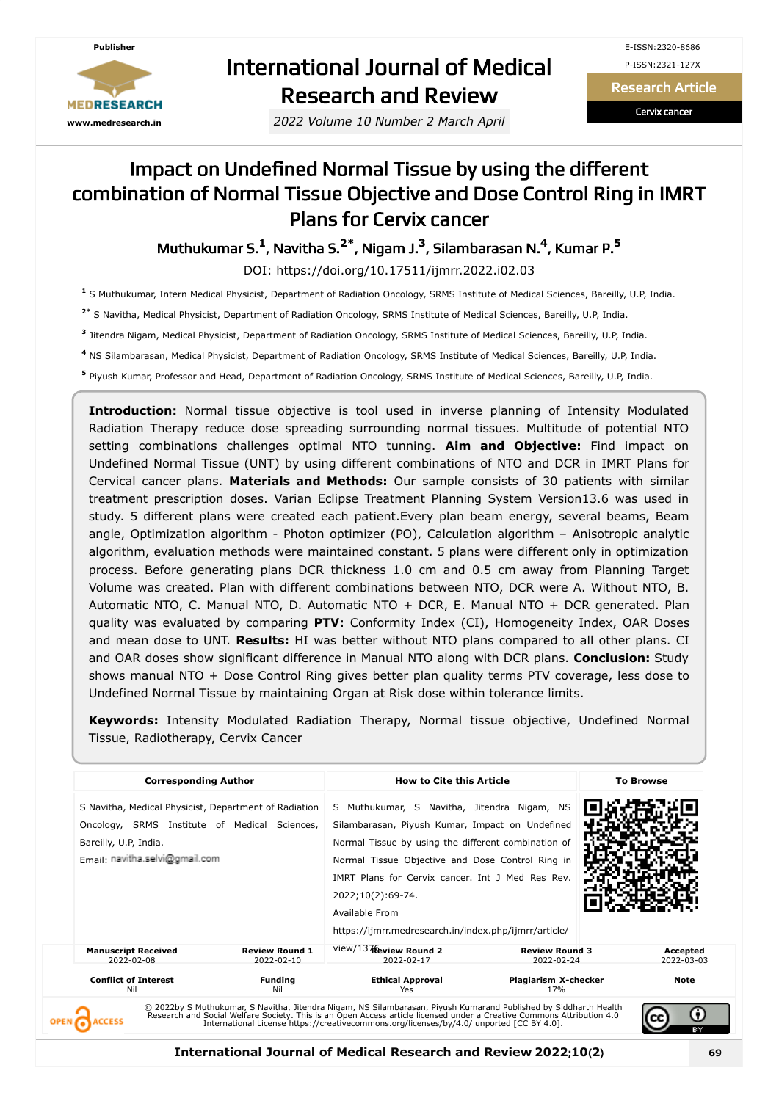

# International Journal of Medical Research and Review

*2022 Volume 10 Number 2 March April*

Research Article

Cervix cancer

## Impact on Undefined Normal Tissue by using the different combination of Normal Tissue Objective and Dose Control Ring in IMRT Plans for Cervix cancer

Muthukumar S. **1** , Navitha S. **2\*** , Nigam J. **3** , Silambarasan N. **4** , Kumar P. **5**

DOI: https://doi.org/10.17511/ijmrr.2022.i02.03

**1** S Muthukumar, Intern Medical Physicist, Department of Radiation Oncology, SRMS Institute of Medical Sciences, Bareilly, U.P, India.

**2\*** S Navitha, Medical Physicist, Department of Radiation Oncology, SRMS Institute of Medical Sciences, Bareilly, U.P, India.

**3** Jitendra Nigam, Medical Physicist, Department of Radiation Oncology, SRMS Institute of Medical Sciences, Bareilly, U.P, India.

**4** NS Silambarasan, Medical Physicist, Department of Radiation Oncology, SRMS Institute of Medical Sciences, Bareilly, U.P, India.

**5** Piyush Kumar, Professor and Head, Department of Radiation Oncology, SRMS Institute of Medical Sciences, Bareilly, U.P, India.

**Introduction:** Normal tissue objective is tool used in inverse planning of Intensity Modulated Radiation Therapy reduce dose spreading surrounding normal tissues. Multitude of potential NTO setting combinations challenges optimal NTO tunning. **Aim and Objective:** Find impact on Undefined Normal Tissue (UNT) by using different combinations of NTO and DCR in IMRT Plans for Cervical cancer plans. **Materials and Methods:** Our sample consists of 30 patients with similar treatment prescription doses. Varian Eclipse Treatment Planning System Version13.6 was used in study. 5 different plans were created each patient.Every plan beam energy, several beams, Beam angle, Optimization algorithm - Photon optimizer (PO), Calculation algorithm – Anisotropic analytic algorithm, evaluation methods were maintained constant. 5 plans were different only in optimization process. Before generating plans DCR thickness 1.0 cm and 0.5 cm away from Planning Target Volume was created. Plan with different combinations between NTO, DCR were A. Without NTO, B. Automatic NTO, C. Manual NTO, D. Automatic NTO + DCR, E. Manual NTO + DCR generated. Plan quality was evaluated by comparing **PTV:** Conformity Index (CI), Homogeneity Index, OAR Doses and mean dose to UNT. **Results:** HI was better without NTO plans compared to all other plans. CI and OAR doses show significant difference in Manual NTO along with DCR plans. **Conclusion:** Study shows manual NTO + Dose Control Ring gives better plan quality terms PTV coverage, less dose to Undefined Normal Tissue by maintaining Organ at Risk dose within tolerance limits.

**Keywords:** Intensity Modulated Radiation Therapy, Normal tissue objective, Undefined Normal Tissue, Radiotherapy, Cervix Cancer

| S Navitha, Medical Physicist, Department of Radiation<br>Oncology, SRMS Institute of Medical Sciences,<br>Bareilly, U.P, India.<br>Fmail: navitha.selvi@gmail.com |                                                           | S Muthukumar, S Navitha, Jitendra Nigam, NS |                                                                                                                                                                                                                                                                                                                                                                                             |
|-------------------------------------------------------------------------------------------------------------------------------------------------------------------|-----------------------------------------------------------|---------------------------------------------|---------------------------------------------------------------------------------------------------------------------------------------------------------------------------------------------------------------------------------------------------------------------------------------------------------------------------------------------------------------------------------------------|
| <b>Review Round 1</b><br>$2022 - 02 - 10$                                                                                                                         | view/137 Review Round 2<br>2022-02-17                     | <b>Review Round 3</b><br>2022-02-24         | Accepted<br>2022-03-03                                                                                                                                                                                                                                                                                                                                                                      |
| <b>Funding</b><br>Nil                                                                                                                                             | <b>Ethical Approval</b><br>Yes                            | Plagiarism X-checker<br>17%                 | <b>Note</b>                                                                                                                                                                                                                                                                                                                                                                                 |
|                                                                                                                                                                   | <b>Manuscript Received</b><br><b>Conflict of Interest</b> | 2022;10(2):69-74.<br>Available From         | Silambarasan, Piyush Kumar, Impact on Undefined<br>Normal Tissue by using the different combination of<br>Normal Tissue Objective and Dose Control Ring in<br>IMRT Plans for Cervix cancer. Int J Med Res Rev.<br>https://ijmrr.medresearch.in/index.php/ijmrr/article/<br>© 2022by S Muthukumar, S Navitha, Jitendra Nigam, NS Silambarasan, Piyush Kumarand Published by Siddharth Health |

**International Journal of Medical Research and Review 2022**;**10**(**2**) **69**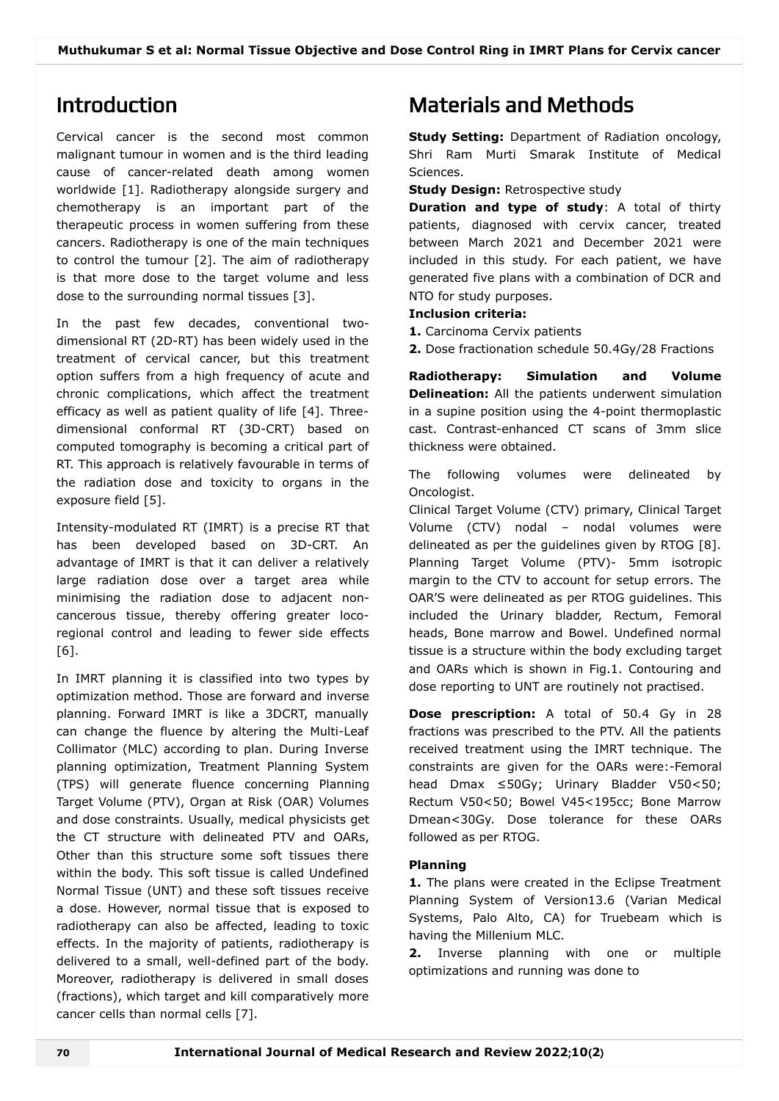## Introduction

Cervical cancer is the second most common malignant tumour in women and is the third leading cause of cancer-related death among women worldwide [1]. Radiotherapy alongside surgery and chemotherapy is an important part of the therapeutic process in women suffering from these cancers. Radiotherapy is one of the main techniques to control the tumour [2]. The aim of radiotherapy is that more dose to the target volume and less dose to the surrounding normal tissues [3].

In the past few decades, conventional twodimensional RT (2D-RT) has been widely used in the treatment of cervical cancer, but this treatment option suffers from a high frequency of acute and chronic complications, which affect the treatment efficacy as well as patient quality of life [4]. Threedimensional conformal RT (3D-CRT) based on computed tomography is becoming a critical part of RT. This approach is relatively favourable in terms of the radiation dose and toxicity to organs in the exposure field [5].

Intensity-modulated RT (IMRT) is a precise RT that has been developed based on 3D-CRT. An advantage of IMRT is that it can deliver a relatively large radiation dose over a target area while minimising the radiation dose to adjacent noncancerous tissue, thereby offering greater locoregional control and leading to fewer side effects [6].

In IMRT planning it is classified into two types by optimization method. Those are forward and inverse planning. Forward IMRT is like a 3DCRT, manually can change the fluence by altering the Multi-Leaf Collimator (MLC) according to plan. During Inverse planning optimization, Treatment Planning System (TPS) will generate fluence concerning Planning Target Volume (PTV), Organ at Risk (OAR) Volumes and dose constraints. Usually, medical physicists get the CT structure with delineated PTV and OARs, Other than this structure some soft tissues there within the body. This soft tissue is called Undefined Normal Tissue (UNT) and these soft tissues receive a dose. However, normal tissue that is exposed to radiotherapy can also be affected, leading to toxic effects. In the majority of patients, radiotherapy is delivered to a small, well-defined part of the body. Moreover, radiotherapy is delivered in small doses (fractions), which target and kill comparatively more cancer cells than normal cells [7].

## Materials and Methods

**Study Setting:** Department of Radiation oncology, Shri Ram Murti Smarak Institute of Medical Sciences.

**Study Design:** Retrospective study

**Duration and type of study**: A total of thirty patients, diagnosed with cervix cancer, treated between March 2021 and December 2021 were included in this study. For each patient, we have generated five plans with a combination of DCR and NTO for study purposes.

#### **Inclusion criteria:**

- **1.** Carcinoma Cervix patients
- **2.** Dose fractionation schedule 50.4Gy/28 Fractions

**Radiotherapy: Simulation and Volume Delineation:** All the patients underwent simulation in a supine position using the 4-point thermoplastic cast. Contrast-enhanced CT scans of 3mm slice thickness were obtained.

The following volumes were delineated by Oncologist.

Clinical Target Volume (CTV) primary, Clinical Target Volume (CTV) nodal – nodal volumes were delineated as per the guidelines given by RTOG [8]. Planning Target Volume (PTV)- 5mm isotropic margin to the CTV to account for setup errors. The OAR'S were delineated as per RTOG guidelines. This included the Urinary bladder, Rectum, Femoral heads, Bone marrow and Bowel. Undefined normal tissue is a structure within the body excluding target and OARs which is shown in Fig.1. Contouring and dose reporting to UNT are routinely not practised.

**Dose prescription:** A total of 50.4 Gy in 28 fractions was prescribed to the PTV. All the patients received treatment using the IMRT technique. The constraints are given for the OARs were:-Femoral head Dmax ≤50Gy; Urinary Bladder V50<50; Rectum V50<50; Bowel V45<195cc; Bone Marrow Dmean<30Gy. Dose tolerance for these OARs followed as per RTOG.

### **Planning**

**1.** The plans were created in the Eclipse Treatment Planning System of Version13.6 (Varian Medical Systems, Palo Alto, CA) for Truebeam which is having the Millenium MLC.

**2.** Inverse planning with one or multiple optimizations and running was done to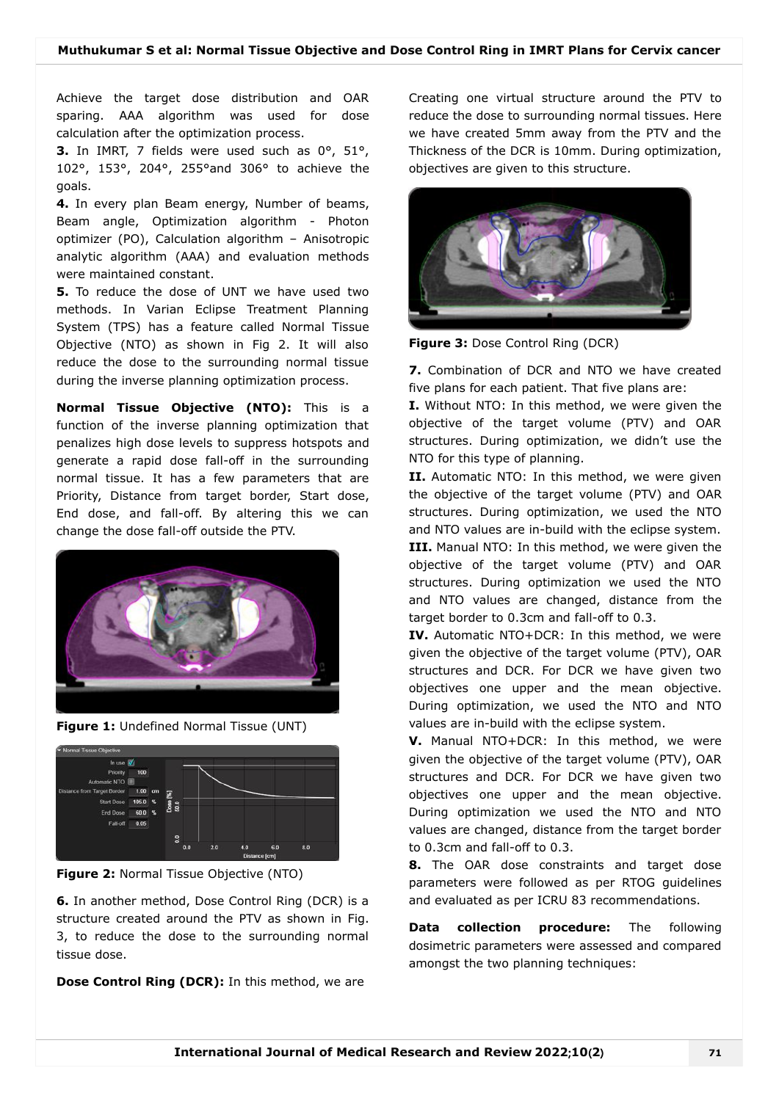Achieve the target dose distribution and OAR sparing. AAA algorithm was used for dose calculation after the optimization process.

**3.** In IMRT, 7 fields were used such as 0°, 51°, 102°, 153°, 204°, 255°and 306° to achieve the goals.

**4.** In every plan Beam energy, Number of beams, Beam angle, Optimization algorithm - Photon optimizer (PO), Calculation algorithm – Anisotropic analytic algorithm (AAA) and evaluation methods were maintained constant.

**5.** To reduce the dose of UNT we have used two methods. In Varian Eclipse Treatment Planning System (TPS) has a feature called Normal Tissue Objective (NTO) as shown in Fig 2. It will also reduce the dose to the surrounding normal tissue during the inverse planning optimization process.

**Normal Tissue Objective (NTO):** This is a function of the inverse planning optimization that penalizes high dose levels to suppress hotspots and generate a rapid dose fall-off in the surrounding normal tissue. It has a few parameters that are Priority, Distance from target border, Start dose, End dose, and fall-off. By altering this we can change the dose fall-off outside the PTV.



**Figure 1:** Undefined Normal Tissue (UNT)



**Figure 2:** Normal Tissue Objective (NTO)

**6.** In another method, Dose Control Ring (DCR) is a structure created around the PTV as shown in Fig. 3, to reduce the dose to the surrounding normal tissue dose.

**Dose Control Ring (DCR):** In this method, we are

Creating one virtual structure around the PTV to reduce the dose to surrounding normal tissues. Here we have created 5mm away from the PTV and the Thickness of the DCR is 10mm. During optimization, objectives are given to this structure.



**Figure 3:** Dose Control Ring (DCR)

**7.** Combination of DCR and NTO we have created five plans for each patient. That five plans are:

**I.** Without NTO: In this method, we were given the objective of the target volume (PTV) and OAR structures. During optimization, we didn't use the NTO for this type of planning.

**II.** Automatic NTO: In this method, we were given the objective of the target volume (PTV) and OAR structures. During optimization, we used the NTO and NTO values are in-build with the eclipse system. **III.** Manual NTO: In this method, we were given the objective of the target volume (PTV) and OAR structures. During optimization we used the NTO and NTO values are changed, distance from the target border to 0.3cm and fall-off to 0.3.

**IV.** Automatic NTO+DCR: In this method, we were given the objective of the target volume (PTV), OAR structures and DCR. For DCR we have given two objectives one upper and the mean objective. During optimization, we used the NTO and NTO values are in-build with the eclipse system.

**V.** Manual NTO+DCR: In this method, we were given the objective of the target volume (PTV), OAR structures and DCR. For DCR we have given two objectives one upper and the mean objective. During optimization we used the NTO and NTO values are changed, distance from the target border to 0.3cm and fall-off to 0.3.

**8.** The OAR dose constraints and target dose parameters were followed as per RTOG guidelines and evaluated as per ICRU 83 recommendations.

**Data collection procedure:** The following dosimetric parameters were assessed and compared amongst the two planning techniques: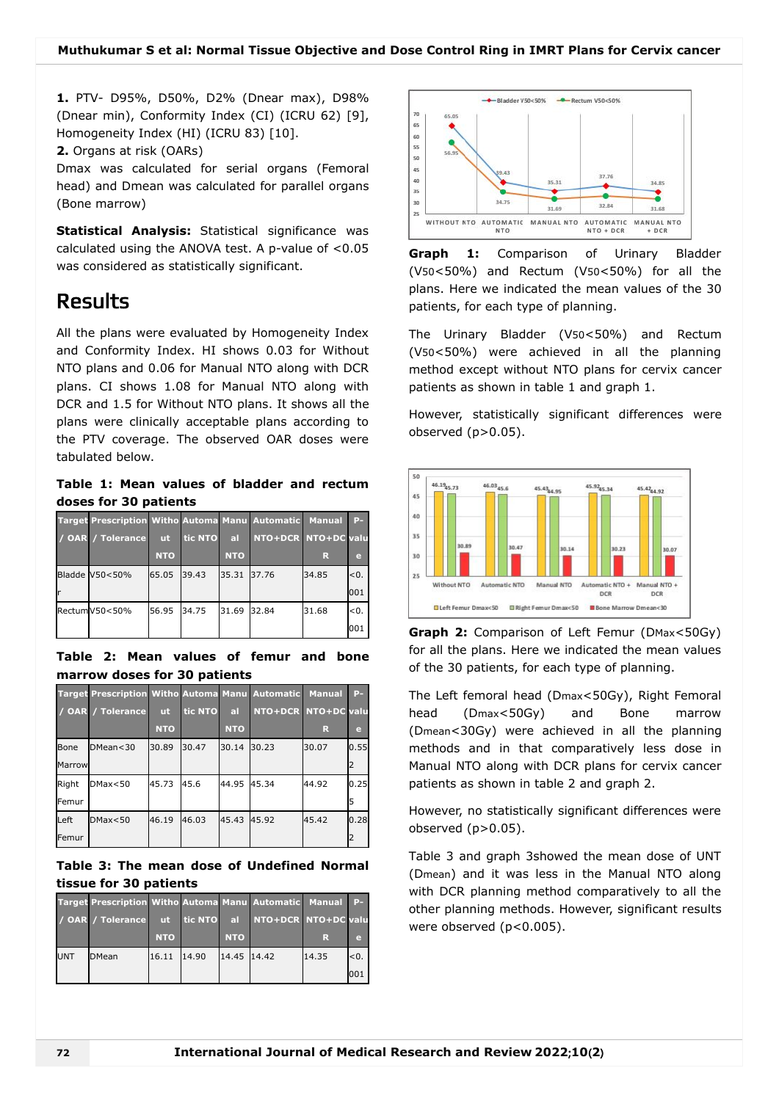**1.** PTV- D95%, D50%, D2% (Dnear max), D98% (Dnear min), Conformity Index (CI) (ICRU 62) [9], Homogeneity Index (HI) (ICRU 83) [10].

**2.** Organs at risk (OARs)

Dmax was calculated for serial organs (Femoral head) and Dmean was calculated for parallel organs (Bone marrow)

**Statistical Analysis:** Statistical significance was calculated using the ANOVA test. A p-value of <0.05 was considered as statistically significant.

### Results

All the plans were evaluated by Homogeneity Index and Conformity Index. HI shows 0.03 for Without NTO plans and 0.06 for Manual NTO along with DCR plans. CI shows 1.08 for Manual NTO along with DCR and 1.5 for Without NTO plans. It shows all the plans were clinically acceptable plans according to the PTV coverage. The observed OAR doses were tabulated below.

**Table 1: Mean values of bladder and rectum doses for 30 patients**

| <b>Target Prescription Witho Automa Manu Automatic</b> |            |         |            |                     | <b>Manual</b> | $P-$ |
|--------------------------------------------------------|------------|---------|------------|---------------------|---------------|------|
| / OAR / Tolerance                                      | <b>ut</b>  | tic NTO | <b>al</b>  | NTO+DCR NTO+DC valu |               |      |
|                                                        | <b>NTO</b> |         | <b>NTO</b> |                     | R             | e    |
| Bladde V50<50%                                         | 65.05      | 39.43   | 35.31      | 37.76               | 34.85         | < 0. |
|                                                        |            |         |            |                     |               | 001  |
| RectumV50<50%                                          | 56.95      | 34.75   | 31.69      | 32.84               | 31.68         | <0.  |
|                                                        |            |         |            |                     |               | 001  |

**Table 2: Mean values of femur and bone marrow doses for 30 patients**

|        | <b>Target Prescription Witho Automa Manu Automatic</b> |            |         |            |                     | <b>Manual</b> | $P-$ |
|--------|--------------------------------------------------------|------------|---------|------------|---------------------|---------------|------|
|        | / OAR / Tolerance                                      | <b>ut</b>  | tic NTO | al         | NTO+DCR NTO+DC valu |               |      |
|        |                                                        | <b>NTO</b> |         | <b>NTO</b> |                     | R             | e    |
| Bone   | DMean < 30                                             | 30.89      | 30.47   | 30.14      | 30.23               | 30.07         | 0.55 |
| Marrow |                                                        |            |         |            |                     |               | 2    |
| Right  | DMax < 50                                              | 45.73      | 45.6    | 44.95      | 45.34               | 44.92         | 0.25 |
| Femur  |                                                        |            |         |            |                     |               | 5    |
| Left   | DMax < 50                                              | 46.19      | 46.03   | 45.43      | 45.92               | 45.42         | 0.28 |
| Femur  |                                                        |            |         |            |                     |               | 2    |

**Table 3: The mean dose of Undefined Normal tissue for 30 patients**

|            | Target Prescription Witho Automa Manu Automatic Manual P- |            |            |             |                     |       |      |
|------------|-----------------------------------------------------------|------------|------------|-------------|---------------------|-------|------|
|            | / OAR / Tolerance                                         | $\sqrt{u}$ | tic NTO al |             | NTO+DCR NTO+DC valu |       |      |
|            |                                                           | <b>NTO</b> |            | <b>NTO</b>  |                     | R     | e    |
| <b>UNT</b> | <b>DMean</b>                                              | 16.11      | 14.90      | 14.45 14.42 |                     | 14.35 | < 0. |
|            |                                                           |            |            |             |                     |       | 001  |



**Graph 1:** Comparison of Urinary Bladder (V50<50%) and Rectum (V50<50%) for all the plans. Here we indicated the mean values of the 30 patients, for each type of planning.

The Urinary Bladder (V50<50%) and Rectum (V50<50%) were achieved in all the planning method except without NTO plans for cervix cancer patients as shown in table 1 and graph 1.

However, statistically significant differences were observed  $(p>0.05)$ .



**Graph 2:** Comparison of Left Femur (DMax<50Gy) for all the plans. Here we indicated the mean values of the 30 patients, for each type of planning.

The Left femoral head (Dmax<50Gy), Right Femoral head (Dmax<50Gy) and Bone marrow (Dmean<30Gy) were achieved in all the planning methods and in that comparatively less dose in Manual NTO along with DCR plans for cervix cancer patients as shown in table 2 and graph 2.

However, no statistically significant differences were observed  $(p>0.05)$ .

Table 3 and graph 3showed the mean dose of UNT (Dmean) and it was less in the Manual NTO along with DCR planning method comparatively to all the other planning methods. However, significant results were observed (p<0.005).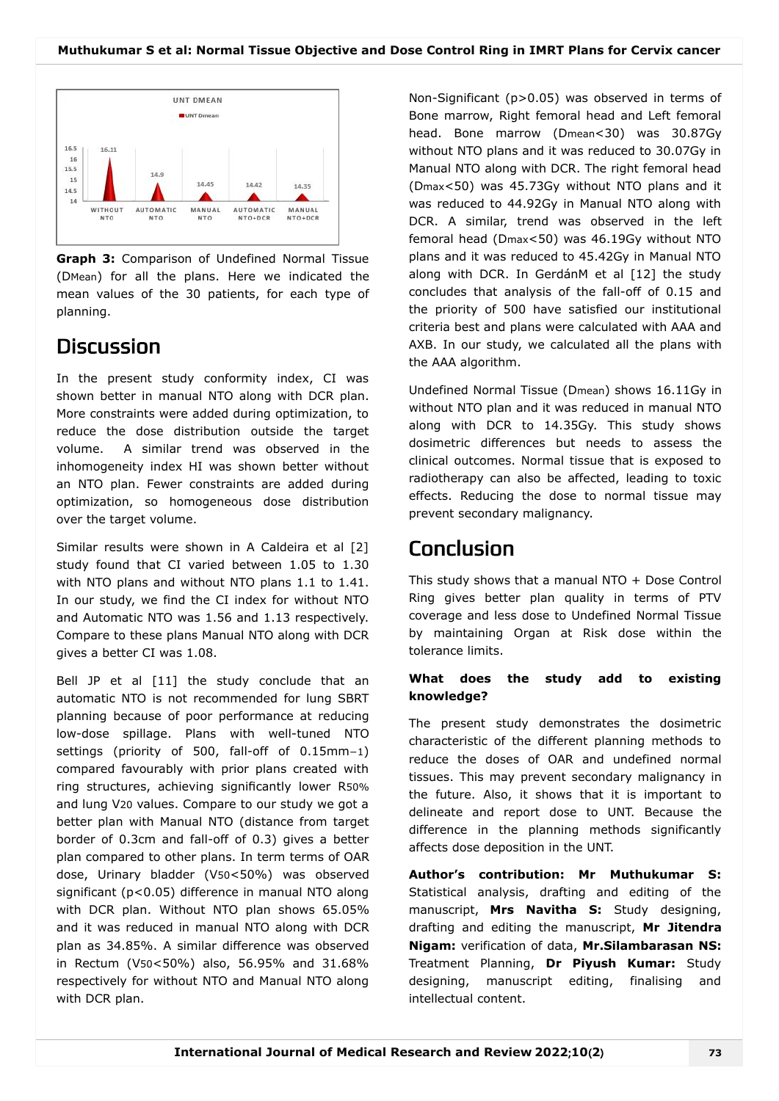

**Graph 3:** Comparison of Undefined Normal Tissue (DMean) for all the plans. Here we indicated the mean values of the 30 patients, for each type of planning.

## **Discussion**

In the present study conformity index, CI was shown better in manual NTO along with DCR plan. More constraints were added during optimization, to reduce the dose distribution outside the target volume. A similar trend was observed in the inhomogeneity index HI was shown better without an NTO plan. Fewer constraints are added during optimization, so homogeneous dose distribution over the target volume.

Similar results were shown in A Caldeira et al [2] study found that CI varied between 1.05 to 1.30 with NTO plans and without NTO plans 1.1 to 1.41. In our study, we find the CI index for without NTO and Automatic NTO was 1.56 and 1.13 respectively. Compare to these plans Manual NTO along with DCR gives a better CI was 1.08.

Bell JP et al [11] the study conclude that an automatic NTO is not recommended for lung SBRT planning because of poor performance at reducing low-dose spillage. Plans with well-tuned NTO settings (priority of 500, fall-off of 0.15mm−1) compared favourably with prior plans created with ring structures, achieving significantly lower R50% and lung V20 values. Compare to our study we got a better plan with Manual NTO (distance from target border of 0.3cm and fall-off of 0.3) gives a better plan compared to other plans. In term terms of OAR dose, Urinary bladder (V50<50%) was observed significant (p<0.05) difference in manual NTO along with DCR plan. Without NTO plan shows 65.05% and it was reduced in manual NTO along with DCR plan as 34.85%. A similar difference was observed in Rectum (V50<50%) also, 56.95% and 31.68% respectively for without NTO and Manual NTO along with DCR plan.

Non-Significant (p>0.05) was observed in terms of Bone marrow, Right femoral head and Left femoral head. Bone marrow (Dmean<30) was 30.87Gy without NTO plans and it was reduced to 30.07Gy in Manual NTO along with DCR. The right femoral head (Dmax<50) was 45.73Gy without NTO plans and it was reduced to 44.92Gy in Manual NTO along with DCR. A similar, trend was observed in the left femoral head (Dmax<50) was 46.19Gy without NTO plans and it was reduced to 45.42Gy in Manual NTO along with DCR. In GerdánM et al [12] the study concludes that analysis of the fall-off of 0.15 and the priority of 500 have satisfied our institutional criteria best and plans were calculated with AAA and AXB. In our study, we calculated all the plans with the AAA algorithm.

Undefined Normal Tissue (Dmean) shows 16.11Gy in without NTO plan and it was reduced in manual NTO along with DCR to 14.35Gy. This study shows dosimetric differences but needs to assess the clinical outcomes. Normal tissue that is exposed to radiotherapy can also be affected, leading to toxic effects. Reducing the dose to normal tissue may prevent secondary malignancy.

## Conclusion

This study shows that a manual NTO + Dose Control Ring gives better plan quality in terms of PTV coverage and less dose to Undefined Normal Tissue by maintaining Organ at Risk dose within the tolerance limits.

### **What does the study add to existing knowledge?**

The present study demonstrates the dosimetric characteristic of the different planning methods to reduce the doses of OAR and undefined normal tissues. This may prevent secondary malignancy in the future. Also, it shows that it is important to delineate and report dose to UNT. Because the difference in the planning methods significantly affects dose deposition in the UNT.

**Author's contribution: Mr Muthukumar S:** Statistical analysis, drafting and editing of the manuscript, **Mrs Navitha S:** Study designing, drafting and editing the manuscript, **Mr Jitendra Nigam:** verification of data, **Mr.Silambarasan NS:** Treatment Planning, **Dr Piyush Kumar:** Study designing, manuscript editing, finalising and intellectual content.